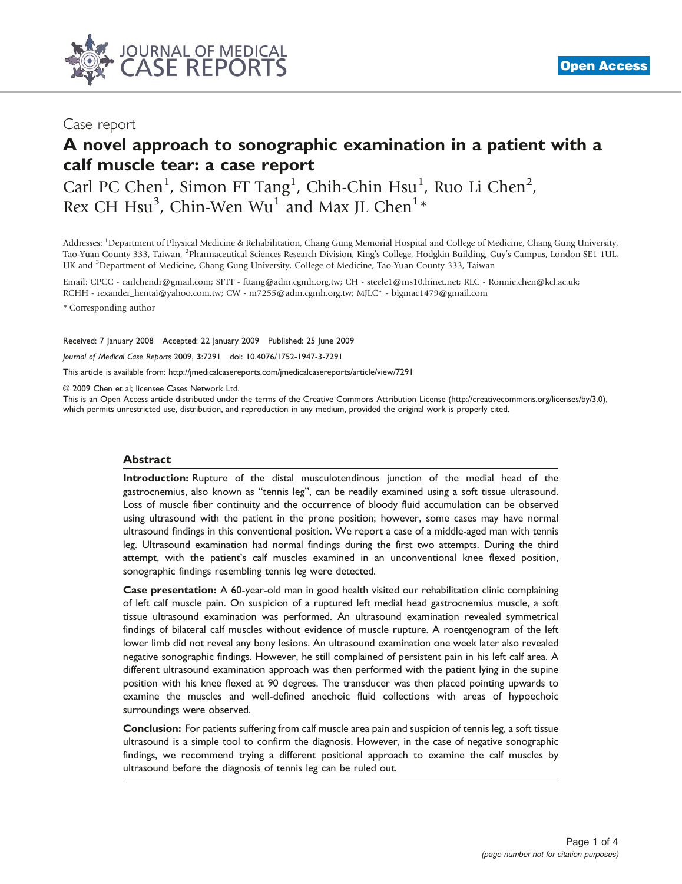

### Case report

# A novel approach to sonographic examination in a patient with a calf muscle tear: a case report

Carl PC Chen<sup>1</sup>, Simon FT Tang<sup>1</sup>, Chih-Chin Hsu<sup>1</sup>, Ruo Li Chen<sup>2</sup>, Rex CH Hsu<sup>3</sup>, Chin-Wen Wu<sup>1</sup> and Max JL Chen<sup>1</sup>\*

Addresses: <sup>1</sup>Department of Physical Medicine & Rehabilitation, Chang Gung Memorial Hospital and College of Medicine, Chang Gung University, Tao-Yuan County 333, Taiwan, <sup>2</sup>Pharmaceutical Sciences Research Division, King's College, Hodgkin Building, Guy's Campus, London SE1 1UL, UK and <sup>3</sup>Department of Medicine, Chang Gung University, College of Medicine, Tao-Yuan County 333, Taiwan

Email: CPCC - carlchendr@gmail.com; SFTT - fttang@adm.cgmh.org.tw; CH - steele1@ms10.hinet.net; RLC - Ronnie.chen@kcl.ac.uk; RCHH - rexander\_hentai@yahoo.com.tw; CW - m7255@adm.cgmh.org.tw; MJLC\* - bigmac1479@gmail.com

\* Corresponding author

Received: 7 January 2008 Accepted: 22 January 2009 Published: 25 June 2009

Journal of Medical Case Reports 2009, 3:7291 doi: 10.4076/1752-1947-3-7291

This article is available from:<http://jmedicalcasereports.com/jmedicalcasereports/article/view/7291>

© 2009 Chen et al; licensee Cases Network Ltd.

This is an Open Access article distributed under the terms of the Creative Commons Attribution License [\(http://creativecommons.org/licenses/by/3.0\)](http://creativecommons.org/licenses/by/3.0), which permits unrestricted use, distribution, and reproduction in any medium, provided the original work is properly cited.

#### Abstract

Introduction: Rupture of the distal musculotendinous junction of the medial head of the gastrocnemius, also known as "tennis leg", can be readily examined using a soft tissue ultrasound. Loss of muscle fiber continuity and the occurrence of bloody fluid accumulation can be observed using ultrasound with the patient in the prone position; however, some cases may have normal ultrasound findings in this conventional position. We report a case of a middle-aged man with tennis leg. Ultrasound examination had normal findings during the first two attempts. During the third attempt, with the patient's calf muscles examined in an unconventional knee flexed position, sonographic findings resembling tennis leg were detected.

Case presentation: A 60-year-old man in good health visited our rehabilitation clinic complaining of left calf muscle pain. On suspicion of a ruptured left medial head gastrocnemius muscle, a soft tissue ultrasound examination was performed. An ultrasound examination revealed symmetrical findings of bilateral calf muscles without evidence of muscle rupture. A roentgenogram of the left lower limb did not reveal any bony lesions. An ultrasound examination one week later also revealed negative sonographic findings. However, he still complained of persistent pain in his left calf area. A different ultrasound examination approach was then performed with the patient lying in the supine position with his knee flexed at 90 degrees. The transducer was then placed pointing upwards to examine the muscles and well-defined anechoic fluid collections with areas of hypoechoic surroundings were observed.

Conclusion: For patients suffering from calf muscle area pain and suspicion of tennis leg, a soft tissue ultrasound is a simple tool to confirm the diagnosis. However, in the case of negative sonographic findings, we recommend trying a different positional approach to examine the calf muscles by ultrasound before the diagnosis of tennis leg can be ruled out.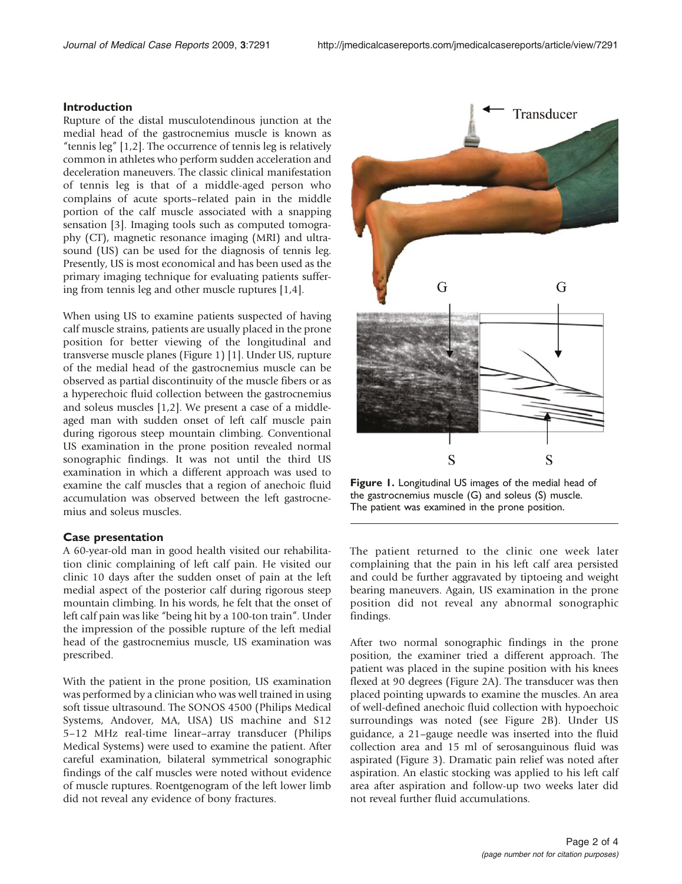#### Introduction

Rupture of the distal musculotendinous junction at the medial head of the gastrocnemius muscle is known as "tennis leg" [[1](#page-3-0),[2](#page-3-0)]. The occurrence of tennis leg is relatively common in athletes who perform sudden acceleration and deceleration maneuvers. The classic clinical manifestation of tennis leg is that of a middle-aged person who complains of acute sports–related pain in the middle portion of the calf muscle associated with a snapping sensation [[3](#page-3-0)]. Imaging tools such as computed tomography (CT), magnetic resonance imaging (MRI) and ultrasound (US) can be used for the diagnosis of tennis leg. Presently, US is most economical and has been used as the primary imaging technique for evaluating patients suffering from tennis leg and other muscle ruptures [\[1,4\]](#page-3-0).

When using US to examine patients suspected of having calf muscle strains, patients are usually placed in the prone position for better viewing of the longitudinal and transverse muscle planes (Figure 1) [[1](#page-3-0)]. Under US, rupture of the medial head of the gastrocnemius muscle can be observed as partial discontinuity of the muscle fibers or as a hyperechoic fluid collection between the gastrocnemius and soleus muscles [[1,2\]](#page-3-0). We present a case of a middleaged man with sudden onset of left calf muscle pain during rigorous steep mountain climbing. Conventional US examination in the prone position revealed normal sonographic findings. It was not until the third US examination in which a different approach was used to examine the calf muscles that a region of anechoic fluid accumulation was observed between the left gastrocnemius and soleus muscles.

#### Case presentation

A 60-year-old man in good health visited our rehabilitation clinic complaining of left calf pain. He visited our clinic 10 days after the sudden onset of pain at the left medial aspect of the posterior calf during rigorous steep mountain climbing. In his words, he felt that the onset of left calf pain was like "being hit by a 100-ton train". Under the impression of the possible rupture of the left medial head of the gastrocnemius muscle, US examination was prescribed.

With the patient in the prone position, US examination was performed by a clinician who was well trained in using soft tissue ultrasound. The SONOS 4500 (Philips Medical Systems, Andover, MA, USA) US machine and S12 5–12 MHz real-time linear–array transducer (Philips Medical Systems) were used to examine the patient. After careful examination, bilateral symmetrical sonographic findings of the calf muscles were noted without evidence of muscle ruptures. Roentgenogram of the left lower limb did not reveal any evidence of bony fractures.



Figure 1. Longitudinal US images of the medial head of the gastrocnemius muscle (G) and soleus (S) muscle. The patient was examined in the prone position.

The patient returned to the clinic one week later complaining that the pain in his left calf area persisted and could be further aggravated by tiptoeing and weight bearing maneuvers. Again, US examination in the prone position did not reveal any abnormal sonographic findings.

After two normal sonographic findings in the prone position, the examiner tried a different approach. The patient was placed in the supine position with his knees flexed at 90 degrees [\(Figure 2A](#page-2-0)). The transducer was then placed pointing upwards to examine the muscles. An area of well-defined anechoic fluid collection with hypoechoic surroundings was noted (see [Figure 2B](#page-2-0)). Under US guidance, a 21–gauge needle was inserted into the fluid collection area and 15 ml of serosanguinous fluid was aspirated ([Figure 3\)](#page-2-0). Dramatic pain relief was noted after aspiration. An elastic stocking was applied to his left calf area after aspiration and follow-up two weeks later did not reveal further fluid accumulations.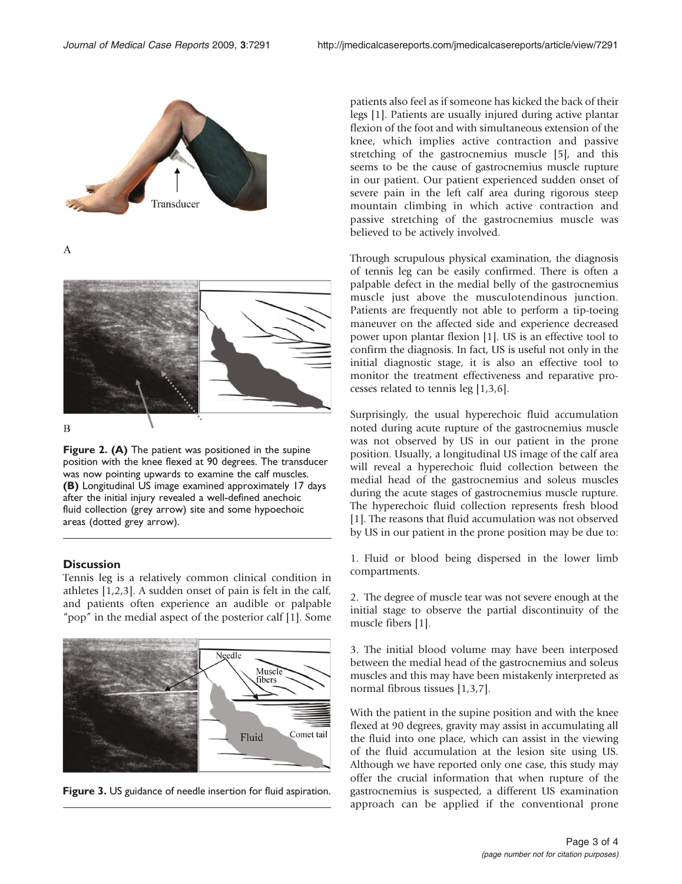<span id="page-2-0"></span>

 $\overline{A}$ 



Figure 2. (A) The patient was positioned in the supine position with the knee flexed at 90 degrees. The transducer was now pointing upwards to examine the calf muscles. (B) Longitudinal US image examined approximately 17 days after the initial injury revealed a well-defined anechoic fluid collection (grey arrow) site and some hypoechoic areas (dotted grey arrow).

#### **Discussion**

Tennis leg is a relatively common clinical condition in athletes [[1](#page-3-0),[2](#page-3-0),[3\]](#page-3-0). A sudden onset of pain is felt in the calf, and patients often experience an audible or palpable "pop" in the medial aspect of the posterior calf [\[1\]](#page-3-0). Some



Figure 3. US guidance of needle insertion for fluid aspiration.

patients also feel as if someone has kicked the back of their legs [[1](#page-3-0)]. Patients are usually injured during active plantar flexion of the foot and with simultaneous extension of the knee, which implies active contraction and passive stretching of the gastrocnemius muscle [[5](#page-3-0)], and this seems to be the cause of gastrocnemius muscle rupture in our patient. Our patient experienced sudden onset of severe pain in the left calf area during rigorous steep mountain climbing in which active contraction and passive stretching of the gastrocnemius muscle was believed to be actively involved.

Through scrupulous physical examination, the diagnosis of tennis leg can be easily confirmed. There is often a palpable defect in the medial belly of the gastrocnemius muscle just above the musculotendinous junction. Patients are frequently not able to perform a tip-toeing maneuver on the affected side and experience decreased power upon plantar flexion [\[1\]](#page-3-0). US is an effective tool to confirm the diagnosis. In fact, US is useful not only in the initial diagnostic stage, it is also an effective tool to monitor the treatment effectiveness and reparative processes related to tennis leg [[1](#page-3-0),[3](#page-3-0),[6\]](#page-3-0).

Surprisingly, the usual hyperechoic fluid accumulation noted during acute rupture of the gastrocnemius muscle was not observed by US in our patient in the prone position. Usually, a longitudinal US image of the calf area will reveal a hyperechoic fluid collection between the medial head of the gastrocnemius and soleus muscles during the acute stages of gastrocnemius muscle rupture. The hyperechoic fluid collection represents fresh blood [[1](#page-3-0)]. The reasons that fluid accumulation was not observed by US in our patient in the prone position may be due to:

1. Fluid or blood being dispersed in the lower limb compartments.

2. The degree of muscle tear was not severe enough at the initial stage to observe the partial discontinuity of the muscle fibers [[1](#page-3-0)].

3. The initial blood volume may have been interposed between the medial head of the gastrocnemius and soleus muscles and this may have been mistakenly interpreted as normal fibrous tissues [\[1](#page-3-0),[3](#page-3-0),[7](#page-3-0)].

With the patient in the supine position and with the knee flexed at 90 degrees, gravity may assist in accumulating all the fluid into one place, which can assist in the viewing of the fluid accumulation at the lesion site using US. Although we have reported only one case, this study may offer the crucial information that when rupture of the gastrocnemius is suspected, a different US examination approach can be applied if the conventional prone